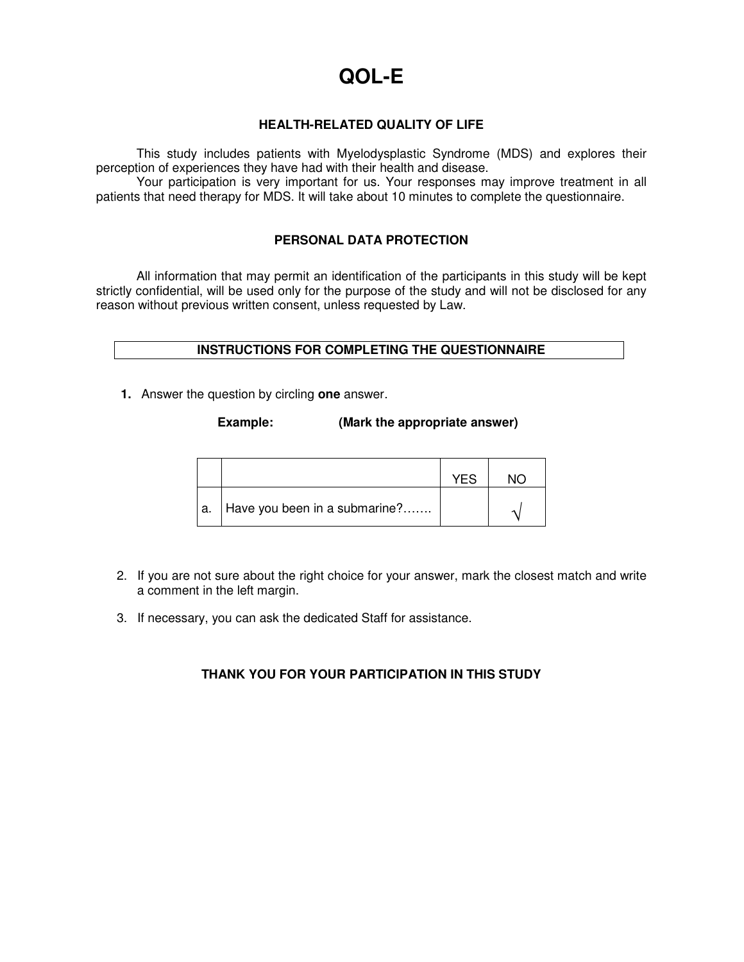# **QOL-E**

# **HEALTH-RELATED QUALITY OF LIFE**

This study includes patients with Myelodysplastic Syndrome (MDS) and explores their perception of experiences they have had with their health and disease.

Your participation is very important for us. Your responses may improve treatment in all patients that need therapy for MDS. It will take about 10 minutes to complete the questionnaire.

# **PERSONAL DATA PROTECTION**

All information that may permit an identification of the participants in this study will be kept strictly confidential, will be used only for the purpose of the study and will not be disclosed for any reason without previous written consent, unless requested by Law.

# **INSTRUCTIONS FOR COMPLETING THE QUESTIONNAIRE**

**1.** Answer the question by circling **one** answer.

# **Example: (Mark the appropriate answer)**

|                                    | YF.S |  |
|------------------------------------|------|--|
| a.   Have you been in a submarine? |      |  |

- 2. If you are not sure about the right choice for your answer, mark the closest match and write a comment in the left margin.
- 3. If necessary, you can ask the dedicated Staff for assistance.

# **THANK YOU FOR YOUR PARTICIPATION IN THIS STUDY**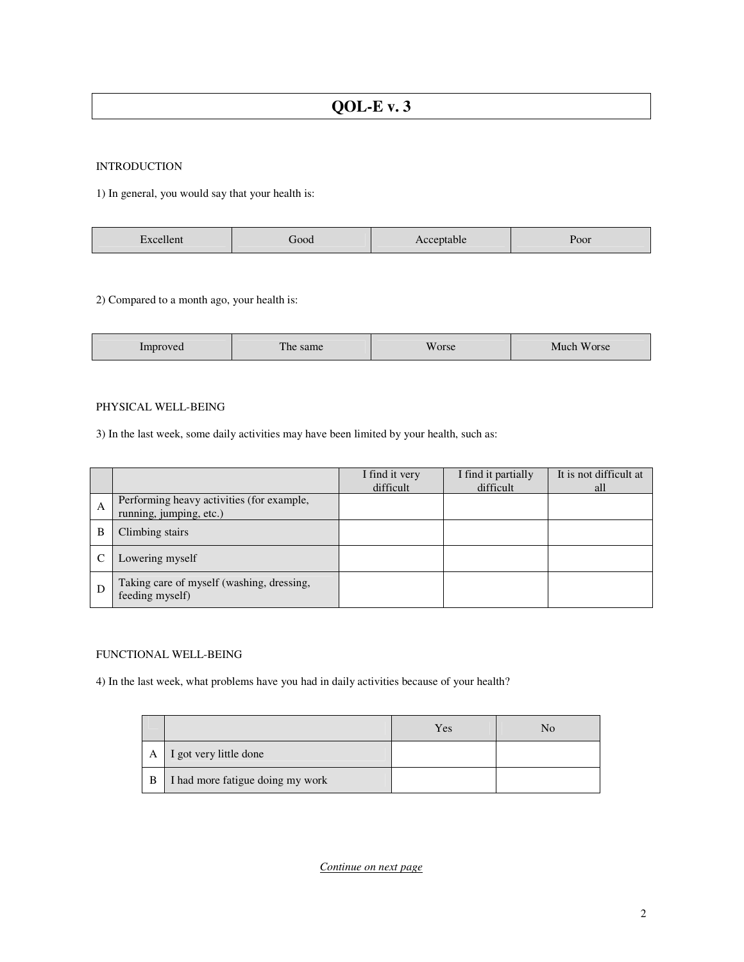#### INTRODUCTION

1) In general, you would say that your health is:

| noo<br>---- |  | POOF |
|-------------|--|------|
|-------------|--|------|

2) Compared to a month ago, your health is:

| Improved | <b>STORY OF</b><br>The same | Worse | Much Worse |
|----------|-----------------------------|-------|------------|
|----------|-----------------------------|-------|------------|

#### PHYSICAL WELL-BEING

3) In the last week, some daily activities may have been limited by your health, such as:

|   |                                                                      | I find it very<br>difficult | I find it partially<br>difficult | It is not difficult at<br>all |
|---|----------------------------------------------------------------------|-----------------------------|----------------------------------|-------------------------------|
| A | Performing heavy activities (for example,<br>running, jumping, etc.) |                             |                                  |                               |
| В | Climbing stairs                                                      |                             |                                  |                               |
|   | Lowering myself                                                      |                             |                                  |                               |
| Ð | Taking care of myself (washing, dressing,<br>feeding myself)         |                             |                                  |                               |

#### FUNCTIONAL WELL-BEING

4) In the last week, what problems have you had in daily activities because of your health?

|   |                                  | Yes | No |
|---|----------------------------------|-----|----|
| A | I got very little done           |     |    |
| B | I had more fatigue doing my work |     |    |

*Continue on next page*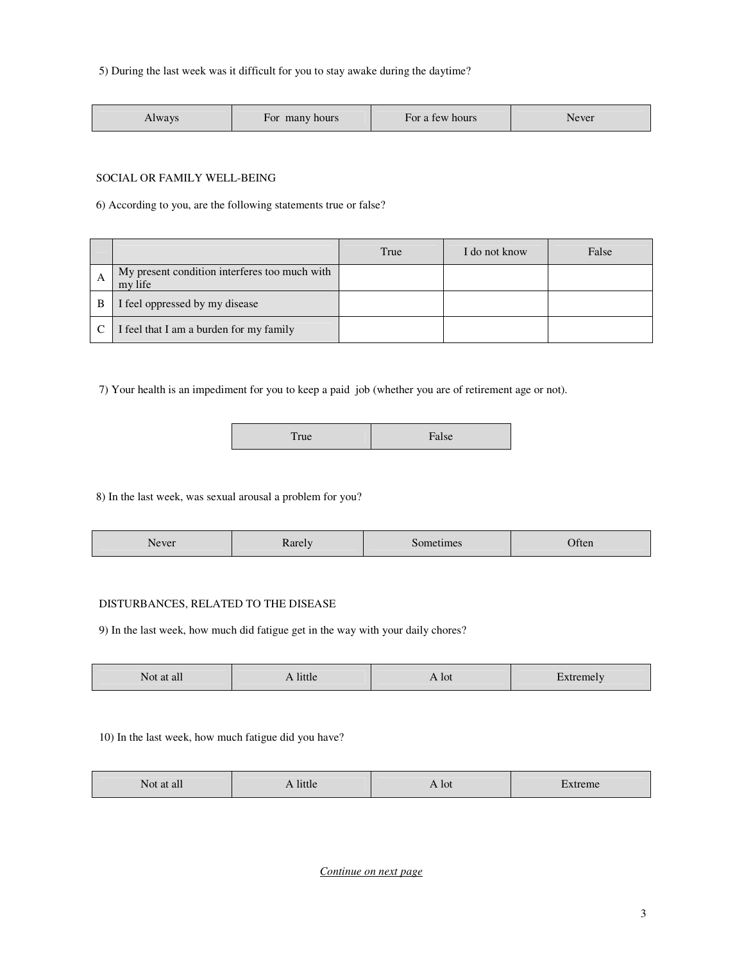5) During the last week was it difficult for you to stay awake during the daytime?

| Always | many hours<br>For | For a few hours | Never |
|--------|-------------------|-----------------|-------|
|--------|-------------------|-----------------|-------|

#### SOCIAL OR FAMILY WELL-BEING

6) According to you, are the following statements true or false?

|   |                                                          | True | I do not know | False |
|---|----------------------------------------------------------|------|---------------|-------|
| A | My present condition interferes too much with<br>my life |      |               |       |
| B | I feel oppressed by my disease                           |      |               |       |
|   | I feel that I am a burden for my family                  |      |               |       |

7) Your health is an impediment for you to keep a paid job (whether you are of retirement age or not).

|--|

8) In the last week, was sexual arousal a problem for you?

| -<br>$\sim$ $\sim$<br>Often<br>Never<br>.<br>umes<br>$1.500 - 7$ |
|------------------------------------------------------------------|
|------------------------------------------------------------------|

#### DISTURBANCES, RELATED TO THE DISEASE

9) In the last week, how much did fatigue get in the way with your daily chores?

| Not at all | A little | $\triangle$ lot | Extremely |
|------------|----------|-----------------|-----------|
|            |          |                 |           |

# 10) In the last week, how much fatigue did you have?

| $ -$<br>Not at all | A little | A lot | Extreme |
|--------------------|----------|-------|---------|
|--------------------|----------|-------|---------|

*Continue on next page*